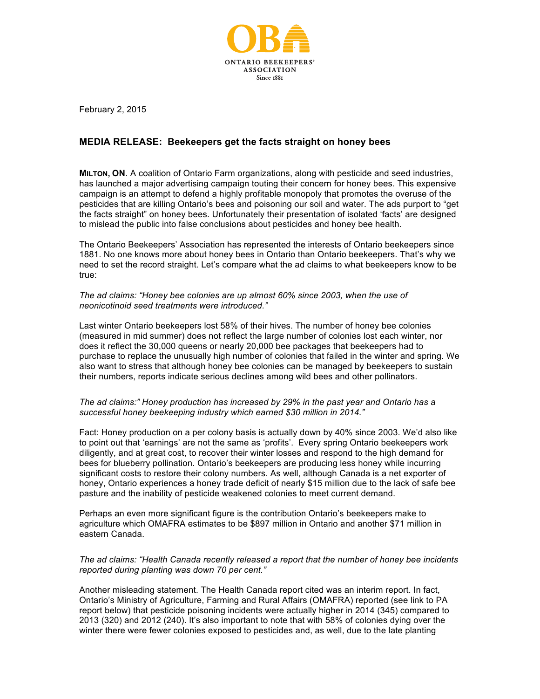

February 2, 2015

# **MEDIA RELEASE: Beekeepers get the facts straight on honey bees**

**MILTON, ON**. A coalition of Ontario Farm organizations, along with pesticide and seed industries, has launched a major advertising campaign touting their concern for honey bees. This expensive campaign is an attempt to defend a highly profitable monopoly that promotes the overuse of the pesticides that are killing Ontario's bees and poisoning our soil and water. The ads purport to "get the facts straight" on honey bees. Unfortunately their presentation of isolated 'facts' are designed to mislead the public into false conclusions about pesticides and honey bee health.

The Ontario Beekeepers' Association has represented the interests of Ontario beekeepers since 1881. No one knows more about honey bees in Ontario than Ontario beekeepers. That's why we need to set the record straight. Let's compare what the ad claims to what beekeepers know to be true:

*The ad claims: "Honey bee colonies are up almost 60% since 2003, when the use of neonicotinoid seed treatments were introduced."*

Last winter Ontario beekeepers lost 58% of their hives. The number of honey bee colonies (measured in mid summer) does not reflect the large number of colonies lost each winter, nor does it reflect the 30,000 queens or nearly 20,000 bee packages that beekeepers had to purchase to replace the unusually high number of colonies that failed in the winter and spring. We also want to stress that although honey bee colonies can be managed by beekeepers to sustain their numbers, reports indicate serious declines among wild bees and other pollinators.

# *The ad claims:" Honey production has increased by 29% in the past year and Ontario has a successful honey beekeeping industry which earned \$30 million in 2014."*

Fact: Honey production on a per colony basis is actually down by 40% since 2003. We'd also like to point out that 'earnings' are not the same as 'profits'. Every spring Ontario beekeepers work diligently, and at great cost, to recover their winter losses and respond to the high demand for bees for blueberry pollination. Ontario's beekeepers are producing less honey while incurring significant costs to restore their colony numbers. As well, although Canada is a net exporter of honey, Ontario experiences a honey trade deficit of nearly \$15 million due to the lack of safe bee pasture and the inability of pesticide weakened colonies to meet current demand.

Perhaps an even more significant figure is the contribution Ontario's beekeepers make to agriculture which OMAFRA estimates to be \$897 million in Ontario and another \$71 million in eastern Canada.

# *The ad claims: "Health Canada recently released a report that the number of honey bee incidents reported during planting was down 70 per cent."*

Another misleading statement. The Health Canada report cited was an interim report. In fact, Ontario's Ministry of Agriculture, Farming and Rural Affairs (OMAFRA) reported (see link to PA report below) that pesticide poisoning incidents were actually higher in 2014 (345) compared to 2013 (320) and 2012 (240). It's also important to note that with 58% of colonies dying over the winter there were fewer colonies exposed to pesticides and, as well, due to the late planting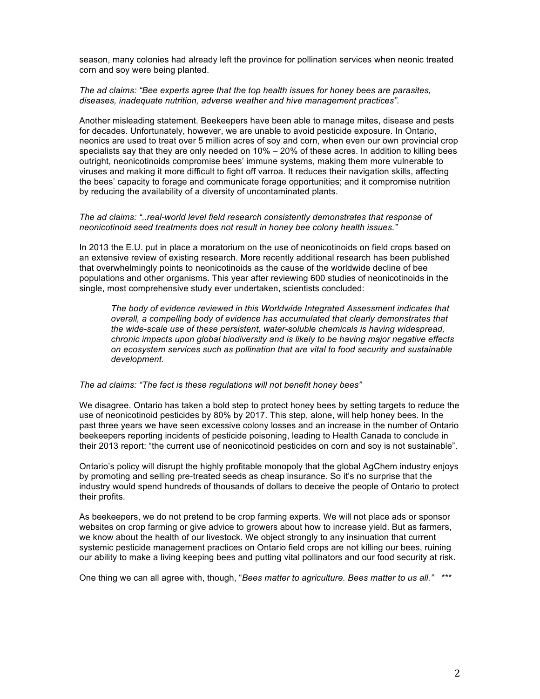season, many colonies had already left the province for pollination services when neonic treated corn and soy were being planted.

### *The ad claims: "Bee experts agree that the top health issues for honey bees are parasites, diseases, inadequate nutrition, adverse weather and hive management practices".*

Another misleading statement. Beekeepers have been able to manage mites, disease and pests for decades. Unfortunately, however, we are unable to avoid pesticide exposure. In Ontario, neonics are used to treat over 5 million acres of soy and corn, when even our own provincial crop specialists say that they are only needed on 10% – 20% of these acres. In addition to killing bees outright, neonicotinoids compromise bees' immune systems, making them more vulnerable to viruses and making it more difficult to fight off varroa. It reduces their navigation skills, affecting the bees' capacity to forage and communicate forage opportunities; and it compromise nutrition by reducing the availability of a diversity of uncontaminated plants.

### *The ad claims: "..real-world level field research consistently demonstrates that response of neonicotinoid seed treatments does not result in honey bee colony health issues."*

In 2013 the E.U. put in place a moratorium on the use of neonicotinoids on field crops based on an extensive review of existing research. More recently additional research has been published that overwhelmingly points to neonicotinoids as the cause of the worldwide decline of bee populations and other organisms. This year after reviewing 600 studies of neonicotinoids in the single, most comprehensive study ever undertaken, scientists concluded:

*The body of evidence reviewed in this Worldwide Integrated Assessment indicates that overall, a compelling body of evidence has accumulated that clearly demonstrates that the wide-scale use of these persistent, water-soluble chemicals is having widespread, chronic impacts upon global biodiversity and is likely to be having major negative effects on ecosystem services such as pollination that are vital to food security and sustainable development.*

#### *The ad claims: "The fact is these regulations will not benefit honey bees"*

We disagree. Ontario has taken a bold step to protect honey bees by setting targets to reduce the use of neonicotinoid pesticides by 80% by 2017. This step, alone, will help honey bees. In the past three years we have seen excessive colony losses and an increase in the number of Ontario beekeepers reporting incidents of pesticide poisoning, leading to Health Canada to conclude in their 2013 report: "the current use of neonicotinoid pesticides on corn and soy is not sustainable".

Ontario's policy will disrupt the highly profitable monopoly that the global AgChem industry enjoys by promoting and selling pre-treated seeds as cheap insurance. So it's no surprise that the industry would spend hundreds of thousands of dollars to deceive the people of Ontario to protect their profits.

As beekeepers, we do not pretend to be crop farming experts. We will not place ads or sponsor websites on crop farming or give advice to growers about how to increase yield. But as farmers, we know about the health of our livestock. We object strongly to any insinuation that current systemic pesticide management practices on Ontario field crops are not killing our bees, ruining our ability to make a living keeping bees and putting vital pollinators and our food security at risk.

One thing we can all agree with, though, "*Bees matter to agriculture. Bees matter to us all." \*\*\**